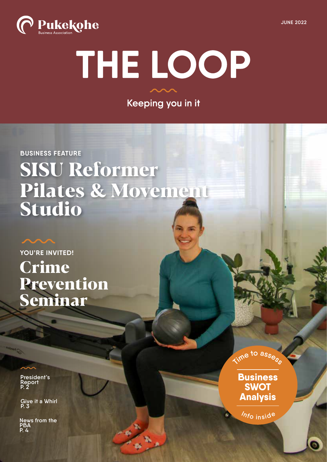

# THE LOOP

Keeping you in it

#### **BUSINESS FEATURE**

# **SISU Reformer Pilates & Movement Studio**

**YOU'RE INVITED! Crime Prevention Seminar**

**President's Report P. 2**

**Give it a Whirl P. 3**

**News from the PBA P. 4**



**Business SWOT Analysis**

**<sup>I</sup>nf<sup>o</sup> <sup>i</sup>nsid<sup>e</sup>**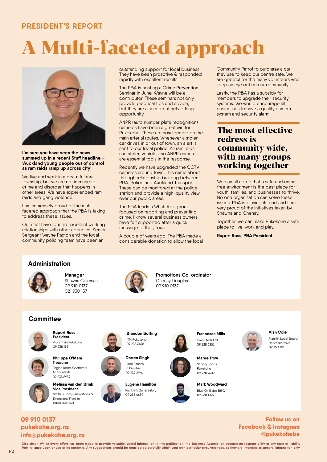#### **PRESIDENT'S REPORT**

# **A Multi-faceted approach**



**I'm sure you have seen the news summed up in a recent Stuff headline – 'Auckland young people out of control as ram raids ramp up across city'**

We live and work in a beautiful rural township, but we are not immune to crime and disorder that happens in other areas. We have experienced ram raids and gang violence.

I am immensely proud of the multi faceted approach that the PBA is taking to address these issues.

Our staff have formed excellent working relationships with other agencies. Senior Sergeant Wayne Paxton and the local community policing team have been an

outstanding support for local business. They have been proactive & responded rapidly with excellent results.

The PBA is hosting a Crime Prevention Seminar in June. Wayne will be a contributor. These seminars not only provide practical tips and advice, but they are also a great networking opportunity.

ANPR (auto number plate recognition) cameras have been a great win for Pukekohe. These are now located on the main arterial routes. Whenever a stolen car drives in or out of town, an alert is sent to our local police. All ram raids use stolen vehicles, so ANPR cameras are essential tools in the response.

Recently we have upgraded the CCTV cameras around town. This came about through relationship building between PBA, Police and Auckland Transport. These can be monitored at the police station and provide a high-quality view over our public areas.

The PBA leads a WhatsApp group focused on reporting and preventing crime. I know several business owners have felt supported after a quick message to the group.

A couple of years ago, The PBA made a considerable donation to allow the local Community Patrol to purchase a car they use to keep our centre safe. We are grateful for the many volunteers who keep an eye out on our community.

Lastly, the PBA has a subsidy for members to upgrade their security systems. We would encourage all businesses to have a quality camera system and security alarm.

#### **The most effective redress is community wide, with many groups working together**

We can all agree that a safe and crime free environment is the best place for youth, families, and businesses to thrive. No one organisation can solve these issues. PBA is playing its part and I am very proud of the initiatives taken by Shawna and Chenay.

Together, we can make Pukekohe a safe place to live, work and play.

**Rupert Ross, PBA President**

#### **Administration**



**Manager** Shawna Coleman 09 910 0137 021 930 137



**Promotions Co-ordinator** Chenay Douglas 09 910 0137

### **Committee Committee**



**President** Vibra Train Pukekohe 09 238 1951

**Rupert Ross**



**Philippa O'Mara Treasurer** Engine Room Chartered Accountants 09 238 5939

**Melissa van den Brink Vice President** Smith & Sons Renovations & Extensions Franklin 0800 002 760



**Darren Singh** 09 238 3678

Creo Fitness Pukekohe 09 239 2194



**Francesca Mills** David Mills Ltd 09 238 6352



**Maree Trow** Stirling Sports Pukekohe 09 238 7689

**Mark Woodward** Blue Ox Babe BBQ 09 238 1079



Franklin Local Board

#### **info@pukekohe.org.nz pukekohe.org.nz 09 910 0137 Follow us on**

**@pukekoheba Facebook & Instagram**

**Disclaimer: Whilst every effort has been made to provide valuable, useful information in this publication, the Business Association accepts no responsibility or any form of liability from reliance upon or use of its contents. Any suggestions should be considered carefully within your own particular circumstances, as they are intended as general information only.**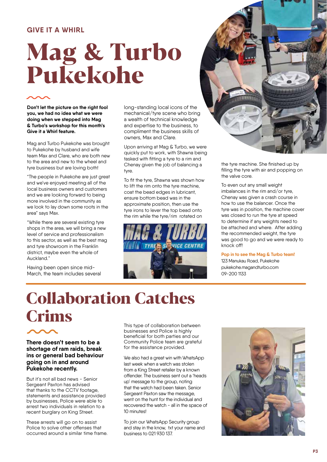#### **GIVE IT A WHIRL**

# **Mag & Turbo Pukekohe**

**Don't let the picture on the right fool you, we had no idea what we were doing when we stepped into Mag & Turbo's workshop for this month's Give it a Whirl feature.** 

Mag and Turbo Pukekohe was brought to Pukekohe by husband and wife team Max and Clare, who are both new to the area and new to the wheel and tyre business but are loving both!

"The people in Pukekohe are just great and we've enjoyed meeting all of the local business owners and customers and we are looking forward to being more involved in the community as we look to lay down some roots in the area" says Max.

"While there are several existing tyre shops in the area, we will bring a new level of service and professionalism to this sector, as well as the best mag and tyre showroom in the Franklin district, maybe even the whole of Auckland."

Having been open since mid-March, the team includes several long-standing local icons of the mechanical/tyre scene who bring a wealth of technical knowledge and expertise to the business, to compliment the business skills of owners, Max and Clare.

Upon arriving at Mag & Turbo, we were quickly put to work, with Shawna being tasked with fitting a tyre to a rim and Chenay given the job of balancing a tyre.

To fit the tyre, Shawna was shown how to lift the rim onto the tyre machine, coat the bead edges in lubricant, ensure bottom bead was in the approximate position, then use the tyre irons to lever the top bead onto the rim while the tyre/rim rotated on





the tyre machine. She finished up by filling the tyre with air and popping on the valve core.

To even out any small weight imbalances in the rim and/or tyre, Chenay was given a crash course in how to use the balancer. Once the tyre was in position, the machine cover was closed to run the tyre at speed to determine if any weights need to be attached and where. After adding the recommended weight, the tyre was good to go and we were ready to knock off!

**Pop in to see the Mag & Turbo team!** 123 Manukau Road, Pukekohe pukekohe.magandturbo.com 09-200 1133

# **Collaboration Catches Crims** This type of collaboration between

**There doesn't seem to be a shortage of ram raids, break ins or general bad behaviour going on in and around Pukekohe recently.** 

But it's not all bad news - Senior Sergeant Paxton has advised that thanks to the CCTV footage, statements and assistance provided by businesses, Police were able to arrest two individuals in relation to a recent burglary on King Street.

These arrests will go on to assist Police to solve other offenses that occurred around a similar time frame. businesses and Police is highly beneficial for both parties and our Community Police team are grateful for the assistance provided.

We also had a great win with WhatsApp last week when a watch was stolen from a King Street retailer by a known offender. The business sent out a 'heads up' message to the group, noting that the watch had been taken. Senior Sergeant Paxton saw the message, went on the hunt for the individual and recovered the watch - all in the space of 10 minutes!

To join our WhatsApp Security group and stay in the know, txt your name and business to 021 930 137.

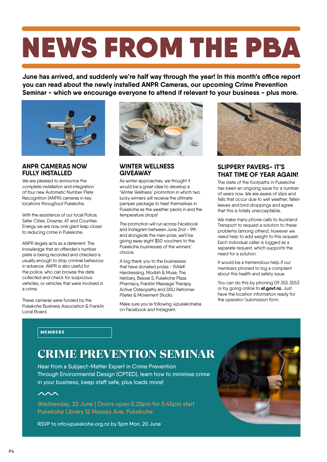# NEWS FROM THE PBA

**June has arrived, and suddenly we're half way through the year! In this month's office report you can read about the newly installed ANPR Cameras, our upcoming Crime Prevention Seminar - which we encourage everyone to attend if relevant to your business - plus more.** 



#### **ANPR CAMERAS NOW FULLY INSTALLED**

We are pleased to announce the complete installation and integration of four new Automatic Number Plate Recognition (ANPR) cameras in key locations throughout Pukekohe.

With the assistance of our local Police, Safer Cities, Downer, AT and Counties Energy we are now one giant leap closer to reducing crime in Pukekohe.

ANPR largely acts as a deterrent. The knowledge that an offender's number plate is being recorded and checked is usually enough to stop criminal behaviour in advance. ANPR is also useful for the police, who can browse the data collected and check for suspicious vehicles, or vehicles that were involved in a crime.

These cameras were funded by the Pukekohe Business Association & Franklin Local Board.



#### **WINTER WELLNESS GIVEAWAY**

As winter approaches, we thought it would be a great idea to develop a 'Winter Wellness' promotion in which two lucky winners will receive the ultimate pamper package to treat themselves in Pukekohe as the weather packs in and the temperature drops!

The promotion will run across Facebook and Instagram between June 2nd - 9th and alongside the main prize, we'll be giving away eight \$50 vouchers to the Pukekohe businesses of the winners' choice.

A big thank you to the businesses that have donated prizes - RAWK Hairdressing, Modish & Muse, The Herbary, Bessie S, Pukekohe Plaza Pharmacy, Franklin Massage Therapy, Active Osteopathy and SISU Reformer Pilates & Movement Studio.

Make sure you're following @pukekoheba on Facebook and Instagram.



#### **SLIPPERY PAVERS- IT'S THAT TIME OF YEAR AGAIN!**

The state of the footpaths in Pukekohe has been an ongoing issue for a number of years now. We are aware of slips and falls that occur due to wet weather, fallen leaves and bird droppings and agree that this is totally unacceptable.

We make many phone calls to Auckland Transport to request a solution to these problems (among others), however we need help to add weight to this request. Each individual caller is logged as a separate request, which supports the need for a solution.

It would be a tremendous help if our members phoned to log a complaint about this health and safety issue.

You can do this by phoning 09 355 3553 or by going online to **at.govt.nz.** Just have the location information ready for the operator/submission form.

#### MEMBERS

## CRIME PREVENTION SEMINAR CRIME PREVENTION SEMINAR

Hear from a Subject-Matter Expert in Crime Prevention Through Environmental Design (CPTED), learn how to minimise crime in your business, keep staff safe, plus loads more!

 $\sim$ 

Wednesday, 22 June | Doors open 5.25pm for 5.45pm start Pukekohe Library 12 Massey Ave, Pukekohe

RSVP to info@pukekohe.org.nz by 5pm Mon, 20 June

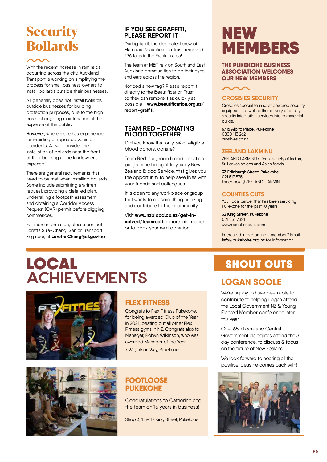# **Security Bollards**

With the recent increase in ram raids occurring across the city, Auckland Transport is working on simplifying the process for small business owners to install bollards outside their businesses.

AT generally does not install bollards outside businesses for building protection purposes, due to the high costs of ongoing maintenance at the expense of the public.

However, where a site has experienced ram-raiding or repeated vehicle accidents, AT will consider the installation of bollards near the front of their building at the landowner's expense.

There are general requirements that need to be met when installing bollards. Some include submitting a written request, providing a detailed plan, undertaking a footpath assesment and obtaining a Corridor Access Request (CAR) permit before digging commences.

For more information, please contact Loretta Su'a-Chang, Senior Transport Engineer, at **Loretta.Chang@at.govt.nz**.

#### **IF YOU SEE GRAFFITI, PLEASE REPORT IT**

During April, the dedicated crew of Manukau Beautification Trust, removed 236 tags in the Franklin area!

The team at MBT rely on South and East Auckland communities to be their eyes and ears across the region.

Noticed a new tag? Please report it directly to the Beautification Trust, so they can remove it as quickly as possible - **www.beautification.org.nz/ report-graffiti.**

#### **TEAM RED - DONATING BLOOD TOGETHER**

Did you know that only 3% of eligible blood donors, donate?

Team Red is a group blood donation programme brought to you by New Zealand Blood Service, that gives you the opportunity to help save lives with your friends and colleagues.

It is open to any workplace or group that wants to do something amazing and contribute to their community.

Visit **www.nzblood.co.nz/get-involved/teamred** for more information or to book your next donation.

# NEW MEMBERS

#### **THE PUKEKOHE BUSINESS ASSOCIATION WELCOMES OUR NEW MEMBERS**



#### **CROSBIES SECURITY**

Crosbies specialise in solar powered security equipment, as well as the delivery of quality security integration services into commercial builds.

**6/16 Alpito Place, Pukekohe**  0800 113 262 crosbies.co.nz

#### **ZEELAND LAKMINU**

ZEELAND LAKMINU offers a variety of Indian, Sri Lankan spices and Asian foods.

**33 Edinburgh Street, Pukekohe**  021 517 575 Facebook: @ZEELAND-LAKMINU

#### **COUNTIES CUTS**

Your local barber that has been servicing Pukekohe for the past 10 years.

**32 King Street, Pukekohe** 021 251 7321 www.countiescuts.com

Interested in becoming a member? Email **info@pukekohe.org.nz** for information.

# LOCAL ACHIEVEMENTS **LOGAN SOOLE**





### **FLEX FITNESS**

Congrats to Flex Fitness Pukekohe, for being awarded Club of the Year in 2021, beating out all other Flex Fitness gyms in NZ. Congrats also to Manager, Robyn Wilkinson, who was awarded Manager of the Year.

7 Wrightson Way, Pukekohe

#### **FOOTLOOSE PUKEKOHE**

Congratulations to Catherine and the team on 15 years in business!

Shop 3, 113-117 King Street, Pukekohe

## **SHOUT OUTS**

We're happy to have been able to contribute to helping Logan attend the Local Government NZ & Young Elected Member conference later this year.

Over 650 Local and Central Government delegates attend the 3 day conference, to discuss & focus on the future of New Zealand.

We look forward to hearing all the positive ideas he comes back with!

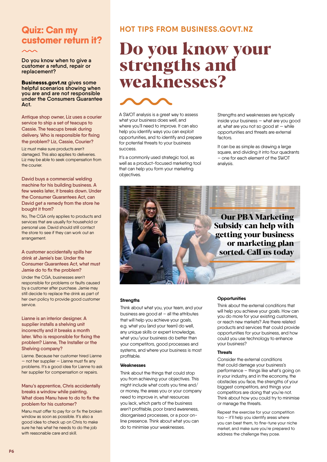## **Quiz: Can my customer return it?**

**Do you know when to give a customer a refund, repair or replacement?** 

**Businesss.govt.nz gives some helpful scenarios showing when you are and are not responsible under the Consumers Guarantee Act.**

**Antique shop owner, Liz uses a courier service to ship a set of teacups to Cassie. The teacups break during delivery. Who is responsible for fixing the problem? Liz, Cassie, Courier?**

Liz must make sure products aren't damaged. This also applies to deliveries. Liz may be able to seek compensation from the courier.

**David buys a commercial welding machine for his building business. A few weeks later, it breaks down. Under the Consumer Guarantees Act, can David get a remedy from the store he bought it from?**

No, The CGA only applies to products and services that are usually for household or personal use. David should still contact the store to see if they can work out an arrangement.

#### **A customer accidentally spills her drink at Jamie's bar. Under the Consumer Guarantees Act, what must Jamie do to fix the problem?**

Under the CGA, businesses aren't responsible for problems or faults caused by a customer after purchase. Jamie may still decide to replace the drink as part of her own policy to provide good customer service.

**Lianne is an interior designer. A supplier installs a shelving unit incorrectly and it breaks a month later. Who is responsible for fixing the problem? Lianne, The Installer or the Shelving company?**

Lianne. Because her customer hired Lianne — not her supplier — Lianne must fix any problems. It's a good idea for Lianne to ask her supplier for compensation or repairs.

#### **Manu's apprentice, Chris accidentally breaks a window while painting. What does Manu have to do to fix the problem for his customer?**

Manu must offer to pay for or fix the broken window as soon as possible. It's also a good idea to check up on Chris to make sure he has what he needs to do the job with reasonable care and skill.

#### **HOT TIPS FROM BUSINESS.GOVT.NZ**

# **Do you know your strengths and weaknesses?**



A SWOT analysis is a great way to assess what your business does well, and where you'll need to improve. It can also help you identify ways you can exploit opportunities, and to identify and prepare for potential threats to your business success.

It's a commonly used strategic tool, as well as a product-focused marketing tool that can help you form your marketing objectives.

Strengths and weaknesses are typically inside your business — what are you good at, what are you not so good at  $-$  while opportunities and threats are external factors

It can be as simple as drawing a large square, and dividing it into four quadrants – one for each element of the SWOT analysis.

**Our PBA Marketing Subsidy can help with getting your business or marketing plan sorted. Call us today** 

#### **Strengths**

Think about what you, your team, and your business are good at  $-$  all the attributes that will help you achieve your goals, e.g. what you (and your team) do well, any unique skills or expert knowledge, what you/your business do better than your competitors, good processes and systems, and where your business is most profitable.

#### **Weaknesses**

Think about the things that could stop you from achieving your objectives. This might include what costs you time and/ or money, the areas you or your company need to improve in, what resources you lack, which parts of the business aren't profitable, poor brand awareness, disorganised processes, or a poor online presence. Think about what you can do to minimise your weaknesses.

#### **Opportunities**

Think about the external conditions that will help you achieve your goals. How can you do more for your existing customers, or reach new markets? Are there related products and services that could provide opportunities for your business, and how could you use technology to enhance your business?

#### **Threats**

Consider the external conditions that could damage your business's performance – things like what's going on in your industry, and in the economy, the obstacles you face, the strengths of your biggest competitors, and things your competitors are doing that you're not. Think about how you could try to minimise or manage the threats.

Repeat the exercise for your competition too – it'll help you identify areas where you can beat them, to fine-tune your niche market, and make sure you're prepared to address the challenge they pose.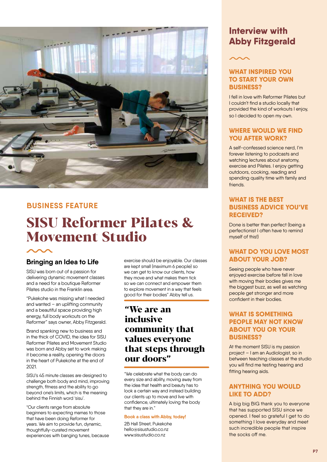

#### **BUSINESS FEATURE**

# **SISU Reformer Pilates & Movement Studio**

#### **Bringing an Idea to Life**

SISU was born out of a passion for delivering dynamic movement classes and a need for a boutique Reformer Pilates studio in the Franklin area.

"Pukekohe was missing what I needed and wanted – an uplifting community and a beautiful space providing high energy, full body workouts on the Reformer" says owner, Abby Fitzgerald.

Brand spanking new to business and in the thick of COVID, the idea for SISU Reformer Pilates and Movement Studio was born and Abby set to work making it become a reality, opening the doors in the heart of Pukekohe at the end of 2021.

SISU's 45 minute classes are designed to challenge both body and mind, improving strength, fitness and the ability to go beyond one's limits, which is the meaning behind the Finnish word 'sisu'.

"Our clients range from absolute beginners to expecting mamas to those that have been doing Reformer for years. We aim to provide fun, dynamic, thoughtfully-curated movement experiences with banging tunes, because exercise should be enjoyable. Our classes are kept small (maximum 6 people) so we can get to know our clients, how they move and what makes them tick so we can connect and empower them to explore movement in a way that feels good for their bodies" Abby tell us.

### **"We are an inclusive community that values everyone that steps through our doors"**

"We celebrate what the body can do every size and ability, moving away from the idea that health and beauty has to look a certain way and instead building our clients up to move and live with confidence, ultimately loving the body that they are in."

#### **Book a class with Abby, today!**

2B Hall Street, Pukekohe hello@sisustudio.co.nz www.sisustudio.co.nz

## **Interview with Abby Fitzgerald**

#### **WHAT INSPIRED YOU TO START YOUR OWN BUSINESS?**

I fell in love with Reformer Pilates but I couldn't find a studio locally that provided the kind of workouts I enjoy, so I decided to open my own.

#### **WHERE WOULD WE FIND YOU AFTER WORK?**

A self-confessed science nerd, I'm forever listening to podcasts and watching lectures about anatomy, exercise and Pilates. I enjoy getting outdoors, cooking, reading and spending quality time with family and friends.

#### **WHAT IS THE BEST BUSINESS ADVICE YOU'VE RECEIVED?**

Done is better than perfect (being a perfectionist I often have to remind myself of this!)

#### **WHAT DO YOU LOVE MOST ABOUT YOUR JOB?**

Seeing people who have never enjoyed exercise before fall in love with moving their bodies gives me the biggest buzz, as well as watching people get stronger and more confident in their bodies.

#### **WHAT IS SOMETHING PEOPLE MAY NOT KNOW ABOUT YOU OR YOUR BUSINESS?**

At the moment SISU is my passion project – I am an Audiologist, so in between teaching classes at the studio you will find me testing hearing and fitting hearing aids.

#### **ANYTHING YOU WOULD LIKE TO ADD?**

A big big BIG thank you to everyone that has supported SISU since we opened. I feel so grateful I get to do something I love everyday and meet such incredible people that inspire the socks off me.